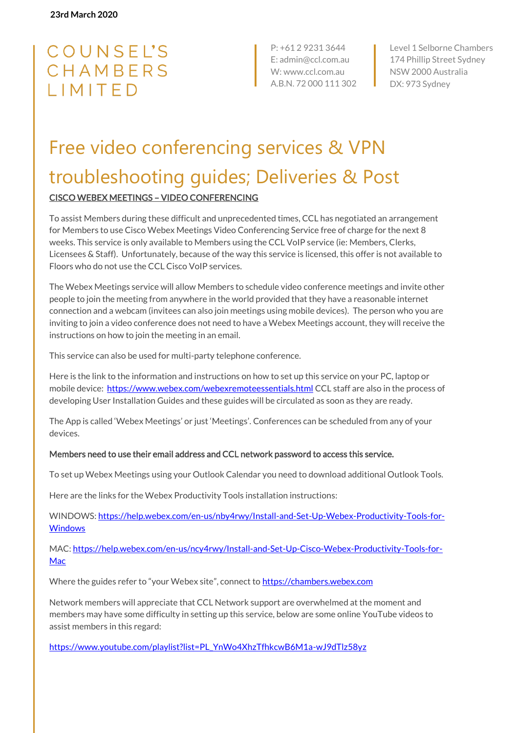### COUNSEL'S CHAMBERS LIMITED

P: +61 2 9231 3644 E: admin@ccl.com.au W: www.ccl.com.au A.B.N. 72 000 111 302

Level 1 Selborne Chambers 174 Phillip Street Sydney NSW 2000 Australia DX: 973 Sydney

## Free video conferencing services & VPN troubleshooting guides; Deliveries & Post CISCO WEBEX MEETINGS – VIDEO CONFERENCING

To assist Members during these difficult and unprecedented times, CCL has negotiated an arrangement for Members to use Cisco Webex Meetings Video Conferencing Service free of charge for the next 8 weeks. This service is only available to Members using the CCL VoIP service (ie: Members, Clerks, Licensees & Staff). Unfortunately, because of the way this service is licensed, this offer is not available to Floors who do not use the CCL Cisco VoIP services.

The Webex Meetings service will allow Members to schedule video conference meetings and invite other people to join the meeting from anywhere in the world provided that they have a reasonable internet connection and a webcam (invitees can also join meetings using mobile devices). The person who you are inviting to join a video conference does not need to have a Webex Meetings account, they will receive the instructions on how to join the meeting in an email.

This service can also be used for multi-party telephone conference.

Here is the link to the information and instructions on how to set up this service on your PC, laptop or mobile device: <https://www.webex.com/webexremoteessentials.html> CCL staff are also in the process of developing User Installation Guides and these guides will be circulated as soon as they are ready.

The App is called 'Webex Meetings' or just 'Meetings'. Conferences can be scheduled from any of your devices.

#### Members need to use their email address and CCL network password to access this service.

To set up Webex Meetings using your Outlook Calendar you need to download additional Outlook Tools.

Here are the links for the Webex Productivity Tools installation instructions:

WINDOWS: [https://help.webex.com/en-us/nby4rwy/Install-and-Set-Up-Webex-Productivity-Tools-for-](https://help.webex.com/en-us/nby4rwy/Install-and-Set-Up-Webex-Productivity-Tools-for-Windows)**[Windows](https://help.webex.com/en-us/nby4rwy/Install-and-Set-Up-Webex-Productivity-Tools-for-Windows)** 

MAC: [https://help.webex.com/en-us/ncy4rwy/Install-and-Set-Up-Cisco-Webex-Productivity-Tools-for-](https://help.webex.com/en-us/ncy4rwy/Install-and-Set-Up-Cisco-Webex-Productivity-Tools-for-Mac)[Mac](https://help.webex.com/en-us/ncy4rwy/Install-and-Set-Up-Cisco-Webex-Productivity-Tools-for-Mac)

Where the guides refer to "your Webex site", connect to [https://chambers.webex.com](https://chambers.webex.com/)

Network members will appreciate that CCL Network support are overwhelmed at the moment and members may have some difficulty in setting up this service, below are some online YouTube videos to assist members in this regard:

[https://www.youtube.com/playlist?list=PL\\_YnWo4XhzTfhkcwB6M1a-wJ9dTlz58yz](https://www.youtube.com/playlist?list=PL_YnWo4XhzTfhkcwB6M1a-wJ9dTlz58yz)